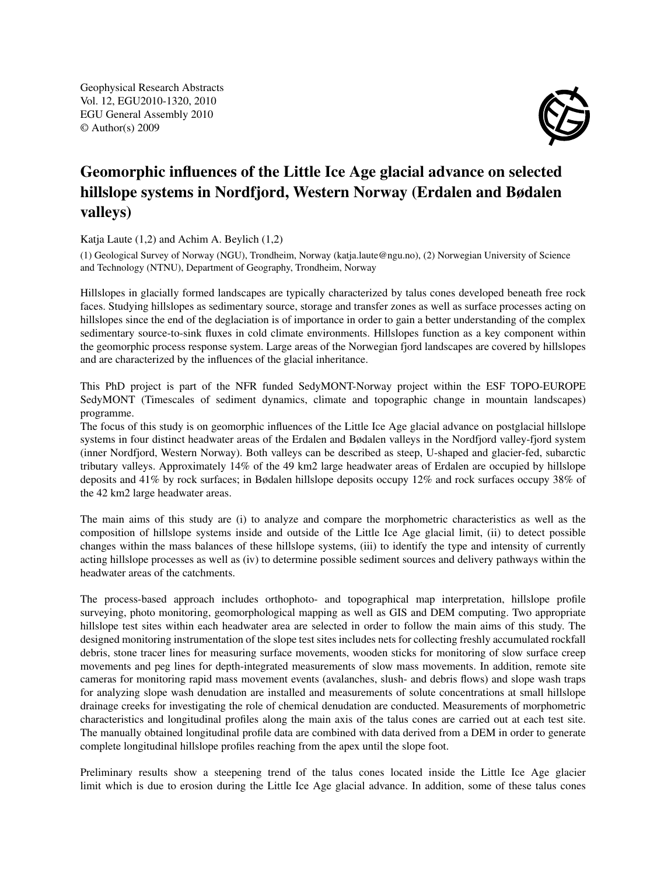Geophysical Research Abstracts Vol. 12, EGU2010-1320, 2010 EGU General Assembly 2010 © Author(s) 2009



## Geomorphic influences of the Little Ice Age glacial advance on selected hillslope systems in Nordfjord, Western Norway (Erdalen and Bødalen valleys)

Katja Laute (1,2) and Achim A. Beylich (1,2)

(1) Geological Survey of Norway (NGU), Trondheim, Norway (katja.laute@ngu.no), (2) Norwegian University of Science and Technology (NTNU), Department of Geography, Trondheim, Norway

Hillslopes in glacially formed landscapes are typically characterized by talus cones developed beneath free rock faces. Studying hillslopes as sedimentary source, storage and transfer zones as well as surface processes acting on hillslopes since the end of the deglaciation is of importance in order to gain a better understanding of the complex sedimentary source-to-sink fluxes in cold climate environments. Hillslopes function as a key component within the geomorphic process response system. Large areas of the Norwegian fjord landscapes are covered by hillslopes and are characterized by the influences of the glacial inheritance.

This PhD project is part of the NFR funded SedyMONT-Norway project within the ESF TOPO-EUROPE SedyMONT (Timescales of sediment dynamics, climate and topographic change in mountain landscapes) programme.

The focus of this study is on geomorphic influences of the Little Ice Age glacial advance on postglacial hillslope systems in four distinct headwater areas of the Erdalen and Bødalen valleys in the Nordfjord valley-fjord system (inner Nordfjord, Western Norway). Both valleys can be described as steep, U-shaped and glacier-fed, subarctic tributary valleys. Approximately 14% of the 49 km2 large headwater areas of Erdalen are occupied by hillslope deposits and 41% by rock surfaces; in Bødalen hillslope deposits occupy 12% and rock surfaces occupy 38% of the 42 km2 large headwater areas.

The main aims of this study are (i) to analyze and compare the morphometric characteristics as well as the composition of hillslope systems inside and outside of the Little Ice Age glacial limit, (ii) to detect possible changes within the mass balances of these hillslope systems, (iii) to identify the type and intensity of currently acting hillslope processes as well as (iv) to determine possible sediment sources and delivery pathways within the headwater areas of the catchments.

The process-based approach includes orthophoto- and topographical map interpretation, hillslope profile surveying, photo monitoring, geomorphological mapping as well as GIS and DEM computing. Two appropriate hillslope test sites within each headwater area are selected in order to follow the main aims of this study. The designed monitoring instrumentation of the slope test sites includes nets for collecting freshly accumulated rockfall debris, stone tracer lines for measuring surface movements, wooden sticks for monitoring of slow surface creep movements and peg lines for depth-integrated measurements of slow mass movements. In addition, remote site cameras for monitoring rapid mass movement events (avalanches, slush- and debris flows) and slope wash traps for analyzing slope wash denudation are installed and measurements of solute concentrations at small hillslope drainage creeks for investigating the role of chemical denudation are conducted. Measurements of morphometric characteristics and longitudinal profiles along the main axis of the talus cones are carried out at each test site. The manually obtained longitudinal profile data are combined with data derived from a DEM in order to generate complete longitudinal hillslope profiles reaching from the apex until the slope foot.

Preliminary results show a steepening trend of the talus cones located inside the Little Ice Age glacier limit which is due to erosion during the Little Ice Age glacial advance. In addition, some of these talus cones